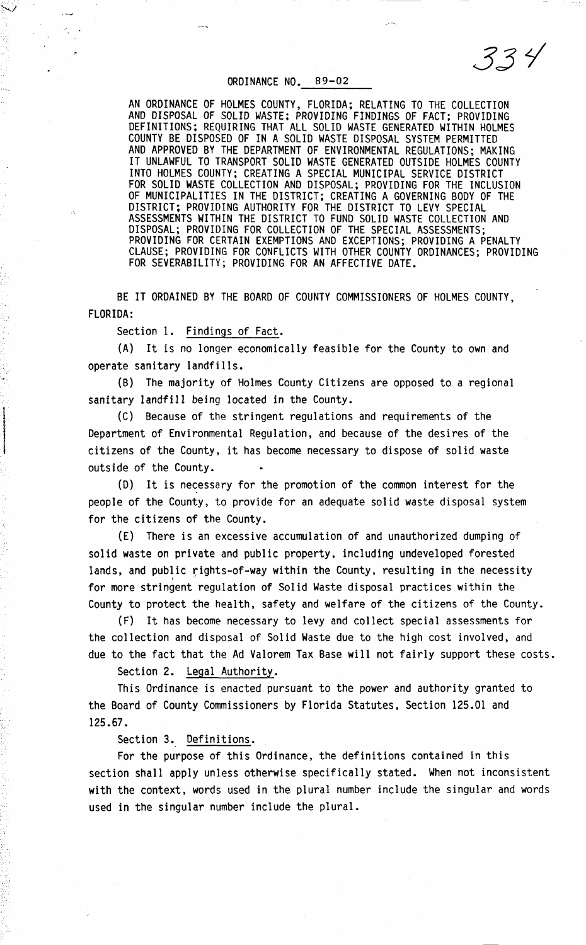## ORDINANCE NO. 89-02

AN ORDINANCE OF HOLMES COUNTY, FLORIDA; RELATING TO THE COLLECTION AND DISPOSAL OF SOLID WASTE; PROVIDING FINDINGS OF FACT; PROVIDING DEFINITIONS: REQUIRING THAT ALL SOLID WASTE GENERATED WITHIN HOLMES COUNTY BE DISPOSED OF IN A SOLID WASTE DISPOSAL SYSTEM PERMITTED AND APPROVED BY THE DEPARTMENT OF ENVIRONMENTAL REGULATIONS; MAKING IT UNLAWFUL TO TRANSPORT SOLID WASTE GENERATED OUTSIDE HOLMES COUNTY INTO HOLMES COUNTY; CREATING A SPECIAL MUNICIPAL SERVICE DISTRICT FOR SOLID WASTE COLLECTION AND DISPOSAL; PROVIDING FOR THE INCLUSION OF MUNICIPALITIES IN THE DISTRICT; CREATING A GOVERNING BODY OF THE DISTRICT: PROVIDING AUTHORITY FOR THE DISTRICT TO LEVY SPECIAL ASSESSMENTS WITHIN THE DISTRICT TO FUND SOLID WASTE COLLECTION AND DISPOSAL; PROVIDING FOR COLLECTION OF THE SPECIAL ASSESSMENTS; PROVIDING FOR CERTAIN EXEMPTIONS AND EXCEPTIONS; PROVIDING A PENALTY CLAUSE; PROVIDING FOR CONFLICTS WITH OTHER COUNTY ORDINANCES; PROVIDING FOR SEVERABILITY; PROVIDING FOR AN AFFECTIVE DATE.

334

BE IT ORDAINED BY THE BOARD OF COUNTY COMMISSIONERS OF HOLMES COUNTY, FLORIDA:

Section 1. Findings of Fact.

(A) It is no longer economically feasible for the County to own and operate sanitary landfills.

(B) The majority of Holmes County Citizens are opposed to a regional sanitary landfill being located in the County.

(C) Because of the stringent regulations and requirements of the Department of Environmental Regulation, and because of the desires of the citizens of the County, it has become necessary to dispose of solid waste outside of the County.

(D) It is necessary for the promotion of the common interest for the people of the County, to provide for an adequate solid waste disposal system for the citizens of the County.

(E) There is an excessive accumulation of and unauthorized dumping of solid waste on private and public property, including undeveloped forested lands, and public rights-of-way within the County, resulting in the necessity for more stringent regulation of Solid Waste disposal practices within the County to protect the health, safety and welfare of the citizens of the County.

(F) It has become necessary to levy and collect special assessments for the collection and disposal of Solid Waste due to the high cost involved, and due to the fact that the Ad Valorem Tax Base will not fairly support these costs.

Section 2. Legal Authority.

This Ordinance is enacted pursuant to the power and authority granted to the Board of County Commissioners by Florida Statutes, Section 125.01 and 125.67.

Section 3. Definitions.

For the purpose of this Ordinance, the definitions contained in this section shall apply unless otherwise specifically stated. When not inconsistent with the context, words used in the plural number include the singular and words used in the singular number include the plural.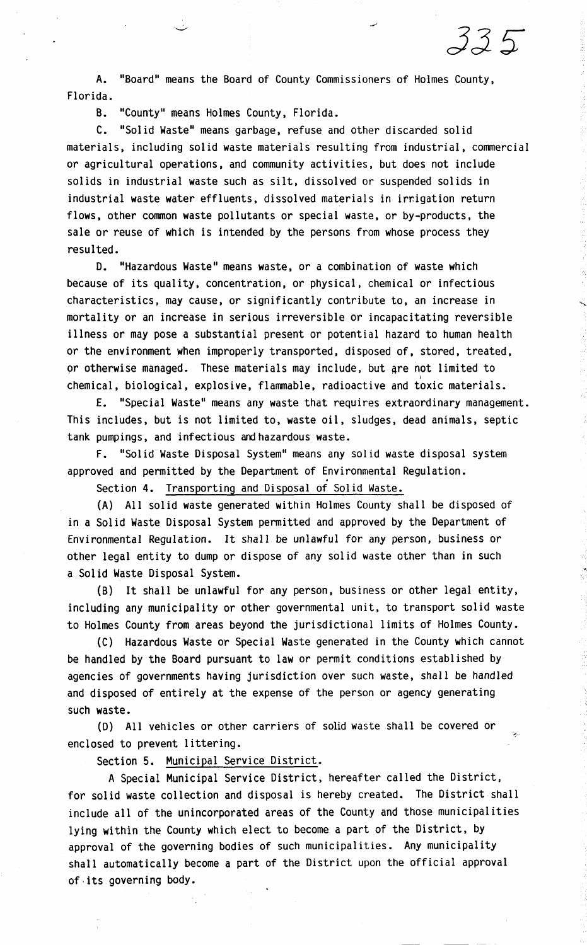A. "Board" means the Board of County Commissioners of Holmes County, Florida.

B. "County" means Holmes County, Florida.

C. "Sol id Waste" means garbage, refuse and other discarded solid materials, including solid waste materials resulting from industrial, commercial or agricultural operations, and community activities, but does not include solids in industrial waste such as silt, dissolved or suspended solids in industrial waste water effluents, dissolved materials in irrigation return flows, other common waste pollutants or special waste, or by-products, the sale or reuse of which is intended by the persons from whose process they resulted.

D. "Hazardous Waste" means waste, or a combination of waste which because of its quality, concentration, or physical, chemical or infectious characteristics, may cause, or significantly contribute to, an increase in mortality or an increase in serious irreversible or incapacitating reversible illness or may pose a substantial present or potential hazard to human health or the environment when improperly transported, disposed of, stored, treated, or otherwise managed. These materials may include, but are not limited to chemical, biological, explosive, flammable, radioactive and  $\overline{\text{to}}$ xic materials.

E. "Special Waste" means any waste that requires extraordinary management. This includes, but is not limited to, waste oil, sludges, dead animals, septic tank pumpings, and infectious andhazardous waste.

F. "Solid Waste Disposal System" means any solid waste disposal system approved and permitted by the Department of Environmental Regulation.<br>Section 4. Transporting and Disposal of Solid Waste.

(A) All solid waste generated within Holmes County shall be disposed of in a Solid Waste Disposal System permitted and approved by the Department of Environmental Regulation. It shall be unlawful for any person, business or other legal entity to dump or dispose of any solid waste other than in such a Solid Waste Disposal System.

(B) It shall be unlawful for any person, business or other legal entity, including any municipality or other governmental unit, to transport solid waste to Holmes County from areas beyond the jurisdictional limits of Holmes County.

··.

335

(C) Hazardous Waste or Special Waste generated in the County which cannot be handled by the Board pursuant to law or permit conditions established by agencies of governments having jurisdiction over such waste, shall be handled and disposed of entirely at the expense of the person or agency generating such waste.

(D) All vehicles or other carriers of solid waste shall be covered or enclosed to prevent littering.

Section 5. Municipal Service District.

A Special Municipal Service District, hereafter called the District, for solid waste collection and disposal is hereby created. The District shall include all of the unincorporated areas of the County and those municipalities lying within the County which elect to become a part of the District, by approval of the governing bodies of such municipalities. Any municipality shall automatically become a part of the District upon the official approval of ·its governing body.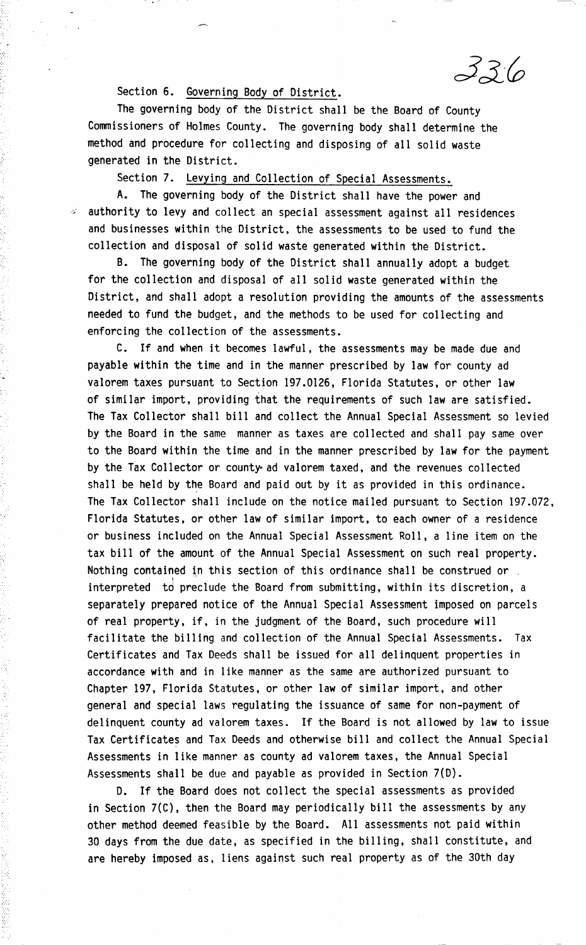336

## Section 6. Governing Body of District.

....

The governing body of the District shall be the Board of County Commissioners of Holmes County. The governing body shall determine the method and procedure for collecting and disposing of all solid waste generated in the District.

Section 7. Levying and Collection of Special Assessments.

A. The governing body of the District shall have the power and  $\dot{\mathbb{R}}$  authority to levy and collect an special assessment against all residences and businesses within the District, the assessments to be used to fund the collection and disposal of solid waste generated within the District.

B. The governing body of the District shall annually adopt a budget for the collection and disposal of all solid waste generated within the District, and shall adopt a resolution providing the amounts of the assessments needed to fund the budget, and the methods to be used for collecting and enforcing the collection of the assessments.

C. If and when it becomes lawful, the assessments may be made due and payable within the time and in the manner prescribed by law for county ad valorem taxes pursuant to Section 197.0126, Florida Statutes, or other law of similar import, providing that the requirements of such law are satisfied. The Tax Collector shall bill and collect the Annual Special Assessment so levied by the Board in the same manner as taxes are collected and shall pay same over to the Board within the time and in the manner prescribed by law for the payment by the Tax Collector or county- ad valorem taxed, and the revenues collected shall be held by the Board and paid out by it as provided in this ordinance. The Tax Collector shall include on the notice mailed pursuant to Section 197.072, Florida Statutes, or other law of similar import, to each owner of a residence or business included on the Annual Special Assessment Roll, a line item on the tax bill of the amount of the Annual Special Assessment on such real property. Nothing contained in this section of this ordinance shall be construed or interpreted td preclude the Board from submitting, within its discretion, a separately prepared notice of the Annual Special Assessment imposed on parcels of real property, if, in the judgment of the Board, such procedure will facilitate the billing and collection of the Annual Special Assessments. Tax Certificates and Tax Deeds shall be issued for all delinquent properties in accordance with and in like manner as the same are authorized pursuant to Chapter 197, Florida Statutes, or other law of similar import, and other general and special laws regulating the issuance of same for non-payment of delinquent county ad valorem taxes. If the Board is not allowed by law to issue Tax Certificates and Tax Deeds and otherwise bill and collect the Annual Special Assessments in like manner as county ad valorem taxes, the Annual Special Assessments shall be due and payable as provided in Section 7(D).

D. If the Board does not collect the special assessments as provided in Section 7(C), then the Board may periodically bill the assessments by any other method deemed feasible by the Board. All assessments not paid within 30 days from the due date, as specified in the billing, shall constitute, and are hereby imposed as, liens against such real property as of the 30th day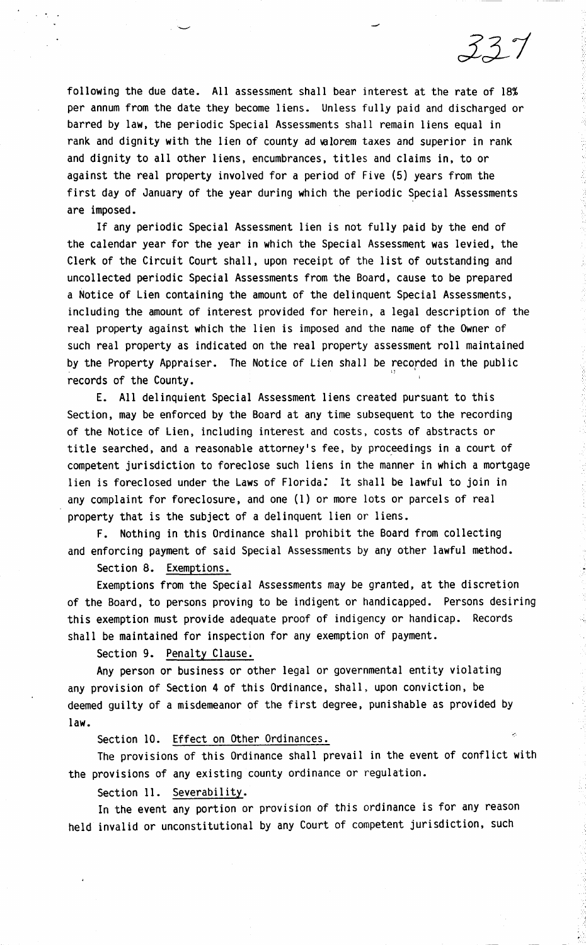337

...

following the due date. All assessment shall bear interest at the rate of 18% per annum from the date they become liens. Unless fully paid and discharged or barred by law, the periodic Special Assessments shall remain liens equal in rank and dignity with the lien of county ad wlorem taxes and superior in rank and dignity to all other liens, encumbrances, titles and claims in, to or against the real property involved for a period of Five (5) years from the first day of January of the year during which the periodic Special Assessments are imposed.

If any periodic Special Assessment lien is not fully paid by the end of the calendar year for the year in which the Special Assessment was levied, the Clerk of the Circuit Court shall, upon receipt of the list of outstanding and uncollected periodic Special Assessments from the Board, cause to be prepared a Notice of Lien containing the amount of the delinquent Special Assessments, including the amount of interest provided for herein, a legal description of the real property against which the lien is imposed and the name of the Owner of such real property as indicated on the real property assessment roll maintained by the Property Appraiser. The Notice of Lien shall be recorded in the public records of the County.

E. All delinquient Special Assessment liens created pursuant to this Section, may be enforced by the Board at any time subsequent to the recording of the Notice of Lien, including interest and costs, costs of abstracts or title searched, and a reasonable attorney's fee, by proceedings in a court of competent jurisdiction to foreclose such liens in the manner in which a mortgage lien is foreclosed under the Laws of Florida: It shall be lawful to join in any complaint for foreclosure, and one (1) or more lots or parcels of real property that is the subject of a delinquent lien or liens.

F. Nothing in this Ordinance shall prohibit the Board from collecting and enforcing payment of said Special Assessments by any other lawful method.

## Section 8. Exemptions.

Exemptions from the Special Assessments may be granted, at the discretion of the Board, to persons proving to be indigent or handicapped. Persons desiring this exemption must provide adequate proof of indigency or handicap. Records shall be maintained for inspection for any exemption of payment.

Section 9. Penalty Clause.

Any person or business or other legal or governmental entity violating any provision of Section 4 of this Ordinance, shall, upon conviction, be deemed guilty of a misdemeanor of the first degree, punishable as provided by law.

Section 10. Effect on Other Ordinances.

The provisions of this Ordinance shall prevail in the event of conflict with the provisions of any existing county ordinance or regulation.

Section 11. Severability.

In the event any portion or provision of this ordinance is for any reason held invalid or unconstitutional by any Court of competent jurisdiction, such